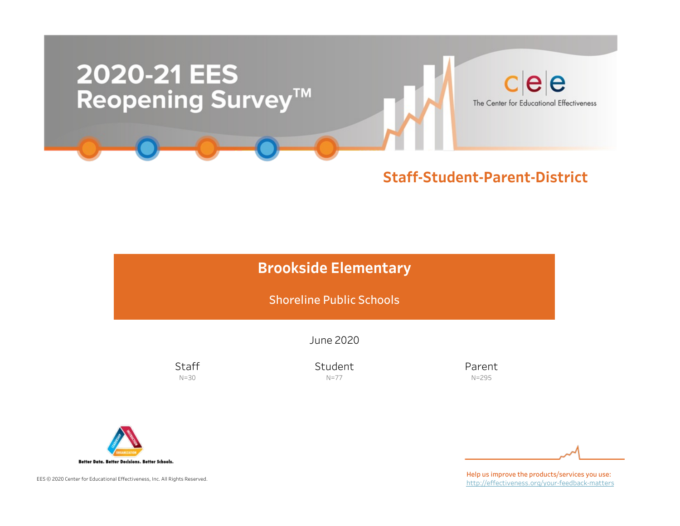

### Staff-Student-Parent-District

# **Brookside Elementary**

Shoreline Public Schools

June2020

**Staff** N=30

Student N=77

Parent N=295



EES © 2020 Center for Educational Effectiveness, Inc. All Rights Reserved.

Help us improve the products/services you use: http://effectiveness.org/your-feedback-matters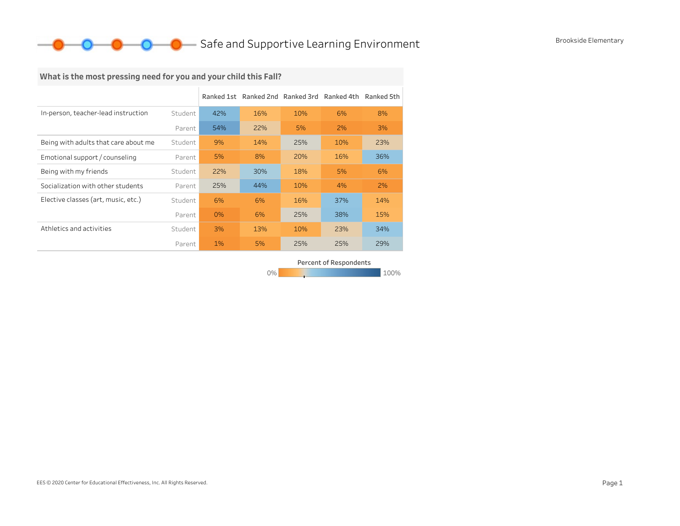### **O** Brookside Elementary<br>
Safe and Supportive Learning Environment Brookside Elementary

## What is the most pressing need for you and your child this Fall?

|                                      |         |       | Ranked 1st Ranked 2nd Ranked 3rd |     | Ranked 4th | Ranked 5th |
|--------------------------------------|---------|-------|----------------------------------|-----|------------|------------|
| In-person, teacher-lead instruction  | Student | 42%   | 16%                              | 10% | 6%         | 8%         |
|                                      | Parent  | 54%   | 22%                              | 5%  | 2%         | 3%         |
| Being with adults that care about me | Student | 9%    | 14%                              | 25% | 10%        | 23%        |
| Emotional support / counseling       | Parent  | 5%    | 8%                               | 20% | 16%        | 36%        |
| Being with my friends                | Student | 22%   | 30%                              | 18% | 5%         | 6%         |
| Socialization with other students    | Parent  | 25%   | 44%                              | 10% | 4%         | 2%         |
| Elective classes (art, music, etc.)  | Student | 6%    | 6%                               | 16% | 37%        | 14%        |
|                                      | Parent  | 0%    | 6%                               | 25% | 38%        | 15%        |
| Athletics and activities             | Student | 3%    | 13%                              | 10% | 23%        | 34%        |
|                                      | Parent  | $1\%$ | 5%                               | 25% | 25%        | 29%        |

Percent of Respondents

0% 100% 100% 100% 100%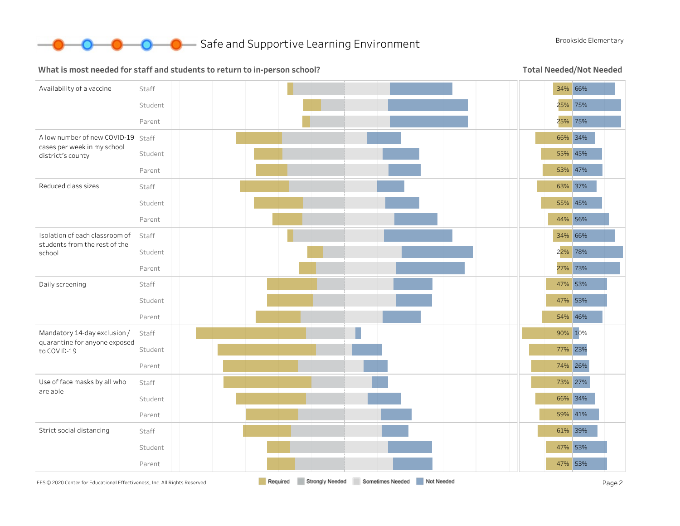

**O** Brookside Elementary

#### What is most needed for staff and students to return to in-person school?

Total Needed/Not Needed

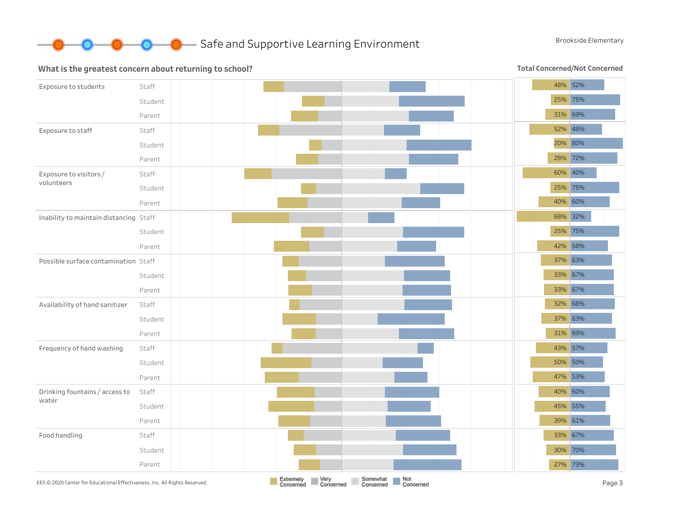

#### What is the greatest concern about returning to school?

Total Concerned/Not Concerned

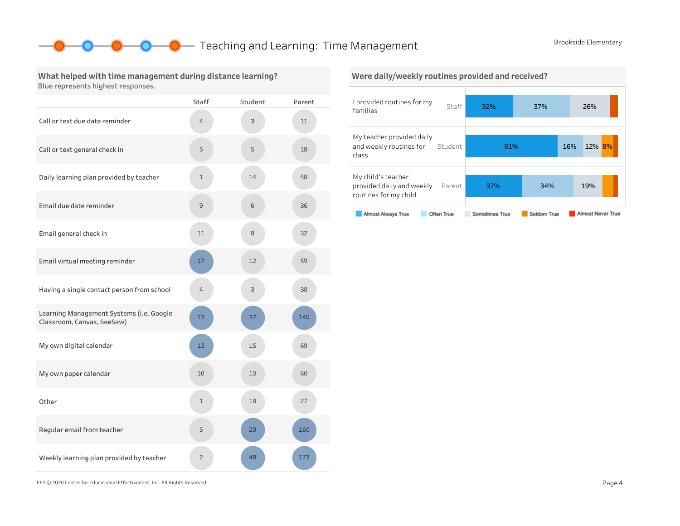61% 16% 12% 8%

37% 34% 19%

### **O** Teaching and Learning: Time Management Brookside Elementary

#### What helped with time management during distance learning? Blue represents highest responses.

|                                                                        | <b>Staff</b>   | Student | Parent |
|------------------------------------------------------------------------|----------------|---------|--------|
| Call or text due date reminder                                         | 4              | 3       | 11     |
| Call or text general check in                                          | 5              | 5       | 18     |
| Daily learning plan provided by teacher                                | $\mathbf 1$    | 14      | 58     |
| Email due date reminder                                                | 9              | 6       | 36     |
| Email general check in                                                 | 11             | 8       | 32     |
| Email virtual meeting reminder                                         | 17             | 12      | 59     |
| Having a single contact person from school                             | $\overline{4}$ | 3       | 38     |
| Learning Management Systems (i.e. Google<br>Classroom, Canvas, SeeSaw) | 13             | 37      | 140    |
| My own digital calendar                                                | 13             | 15      | 69     |
| My own paper calendar                                                  | 10             | 10      | 60     |
| Other                                                                  | 1              | 18      | 27     |
| Regular email from teacher                                             | 5              | 20      | 160    |
| Weekly learning plan provided by teacher                               | $\overline{c}$ | 48      | 173    |

#### I provided routines for my families Staff 32% 37% 26% Were daily/weekly routines provided and received?

My teacher provided daily

Mychild'steacher

routines for my child

class

and weekly routines for Student

provided daily and weekly Parent

#### Almost Never True Almost Always True Often True Sometimes True Seldom True

EES©2020CenterforEducationalEffectiveness,Inc.AllRightsReserved. Page4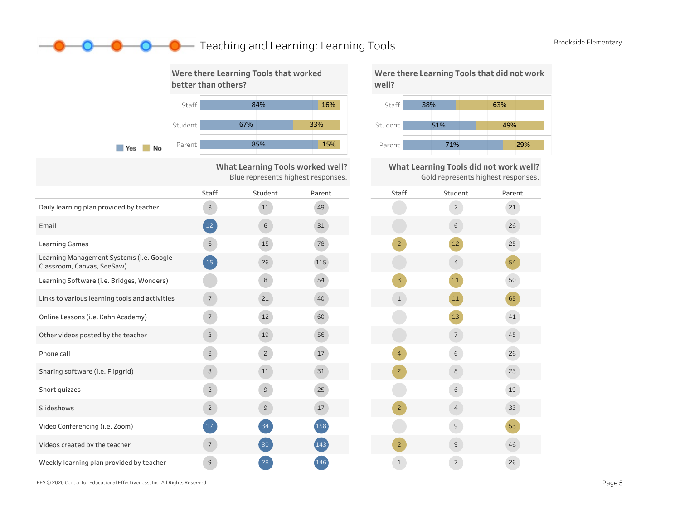### **O** Teaching and Learning: Learning Tools Brookside Elementary



What Learning Tools worked well? Blue represents highest responses.

|                                                                        | <b>Staff</b>    | Student         | Parent |
|------------------------------------------------------------------------|-----------------|-----------------|--------|
| Daily learning plan provided by teacher                                | $\mathsf{3}$    | 11              | 49     |
| Email                                                                  | $\sqrt{12}$     | 6               | 31     |
| <b>Learning Games</b>                                                  | 6               | 15              | 78     |
| Learning Management Systems (i.e. Google<br>Classroom, Canvas, SeeSaw) | 15              | 26              | 115    |
| Learning Software (i.e. Bridges, Wonders)                              |                 | 8               | 54     |
| Links to various learning tools and activities                         | $\overline{7}$  | 21              | 40     |
| Online Lessons (i.e. Kahn Academy)                                     | $7\overline{ }$ | 12              | 60     |
| Other videos posted by the teacher                                     | 3               | 19              | 56     |
| Phone call                                                             | $\overline{2}$  | $\overline{c}$  | 17     |
| Sharing software (i.e. Flipgrid)                                       | $\mathsf{3}$    | 11              | 31     |
| Short quizzes                                                          | $\overline{2}$  | $\mathcal{G}$   | 25     |
| Slideshows                                                             | $\overline{c}$  | $\overline{9}$  | 17     |
| Video Conferencing (i.e. Zoom)                                         | 17              | 34              | 158    |
| Videos created by the teacher                                          | $\overline{7}$  | 30 <sub>o</sub> | (143)  |
| Weekly learning plan provided by teacher                               | 9               | 28              | 146    |



What Learning Tools did not work well? Gold represents highest responses.



EES©2020CenterforEducationalEffectiveness,Inc.AllRightsReserved. Page5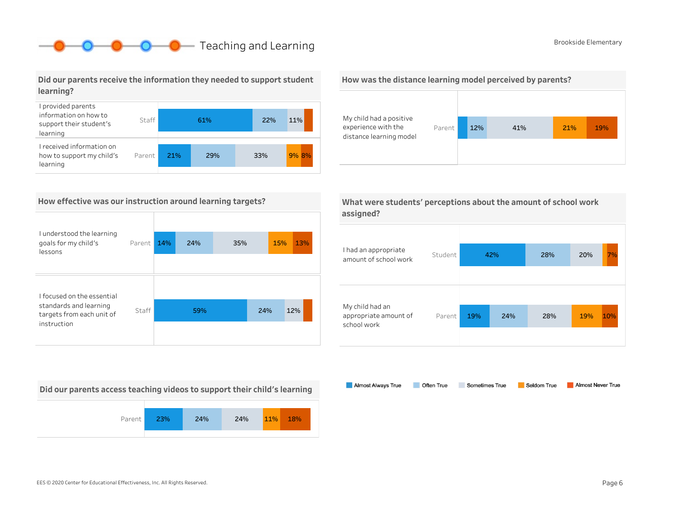# **O** Brookside Elementary

#### Did our parents receive the information they needed to support student learning?



#### How effective was our instruction around learning targets?

| I understood the learning<br>goals for my child's<br>lessons | Parent | 14% | 24% | 35% |     | <b>15%</b> | 13% |
|--------------------------------------------------------------|--------|-----|-----|-----|-----|------------|-----|
|                                                              |        |     |     |     |     |            |     |
| I focused on the essential                                   |        |     |     |     |     |            |     |
| standards and learning<br>targets from each unit of          | Staff  |     | 59% |     | 24% | 12%        |     |
| instruction                                                  |        |     |     |     |     |            |     |

Did our parents access teaching videos to support their child's learning



#### How was the distance learning model perceived by parents?



| What were students' perceptions about the amount of school work |  |
|-----------------------------------------------------------------|--|
| assigned?                                                       |  |

| I had an appropriate<br>amount of school work           | Student | 42% |     | 28% | 20% | 7%  |
|---------------------------------------------------------|---------|-----|-----|-----|-----|-----|
| My child had an<br>appropriate amount of<br>school work | Parent  | 19% | 24% | 28% | 19% | 10% |

Almost Always True Sometimes True Almost Never True Often True Seldom True

EES©2020CenterforEducationalEffectiveness,Inc.AllRightsReserved. Page6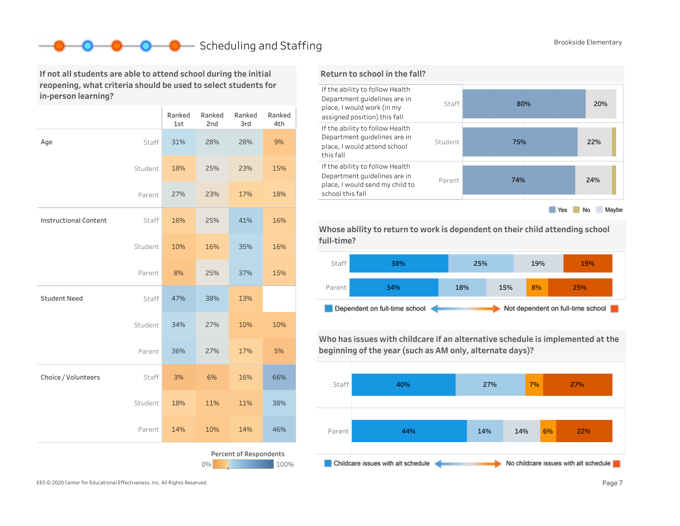# Scheduling and Staffing Brookside Elementary

If not all students are able to attend school during the initial reopening, what criteria should be used to select students for in-person learning?

|                                      |         | Ranked<br>1st | Ranked<br>2nd | Ranked<br>3rd | Ranked<br>4th |  |  |
|--------------------------------------|---------|---------------|---------------|---------------|---------------|--|--|
| Age                                  | Staff   | 31%           | 28%           | 28%           | 9%            |  |  |
|                                      | Student | 18%           | 25%           | 23%           | 15%           |  |  |
|                                      | Parent  | 27%           | 23%           | 17%           | 18%           |  |  |
| <b>Instructional Content</b>         | Staff   | 16%           | 25%           | 41%           | 16%           |  |  |
|                                      | Student | 10%           | 16%           | 35%           | 16%           |  |  |
|                                      | Parent  | 8%            | 25%           | 37%           | 15%           |  |  |
| <b>Student Need</b>                  | Staff   | 47%           | 38%           | 13%           |               |  |  |
|                                      | Student | 34%           | 27%           | 10%           | 10%           |  |  |
|                                      | Parent  | 36%           | 27%           | 17%           | 5%            |  |  |
| Choice / Volunteers                  | Staff   | 3%            | 6%            | 16%           | 66%           |  |  |
|                                      | Student | 18%           | 11%           | 11%           | 38%           |  |  |
|                                      | Parent  | 14%           | 10%           | 14%           | 46%           |  |  |
| Percent of Respondents<br>0%<br>100% |         |               |               |               |               |  |  |



Whose ability to return to work is dependent on their child attending school full-time?



Who has issues with childcare if an alternative schedule is implemented at the beginning of the year (such as AM only, alternate days)?



EES © 2020 Center for Educational Effectiveness, Inc. All Rights Reserved. **Page 7** Page 7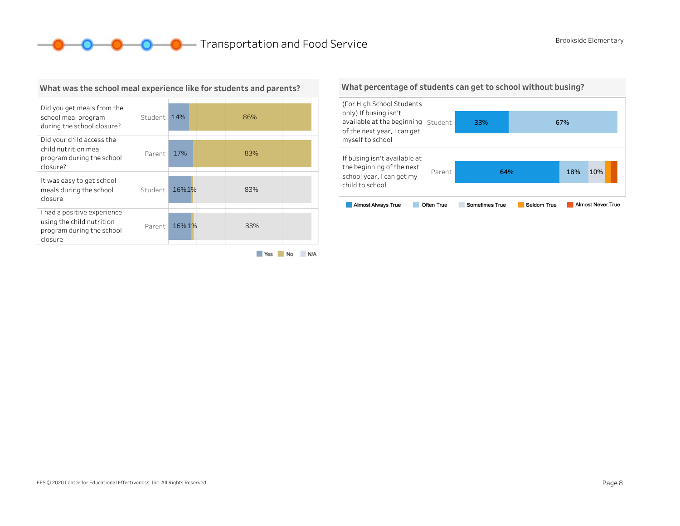**O O O** Transportation and Food Service Brookside Elementary



#### What was the school meal experience like for students and parents?

Yes No N/A

#### What percentage of students can get to school without busing?

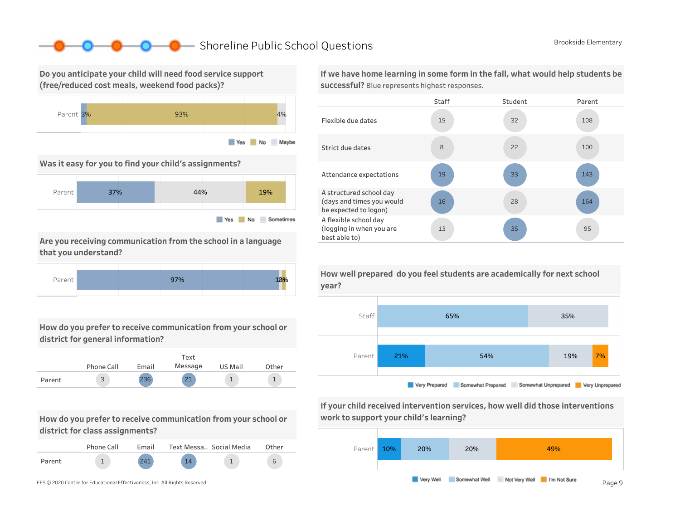### ■ Shoreline Public School Questions Brookside Elementary

Do you anticipate your child will need food service support (free/reduced cost meals, weekend food packs)?



Was it easy for you to find your child's assignments?



Are you receiving communication from the school in a language that you understand?



How do you prefer to receive communication from your school or district for general information?



How do you prefer to receive communication from your school or district for class assignments?

|        | Phone Call | Fmail |    | Text Messa., Social Media | Other |
|--------|------------|-------|----|---------------------------|-------|
| Parent |            | 211   | 14 |                           |       |

If we have home learning in some form in the fall, what would help students be successful? Blue represents highest responses.





If your child received intervention services, how well did those interventions work to support your child's learning?



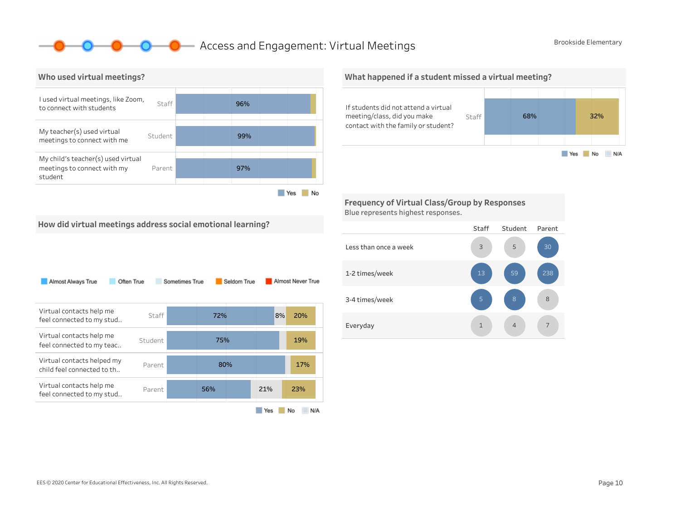### **O** Access and Engagement: Virtual Meetings Brookside Elementary



Yes No

What happened if a student missed a virtual meeting?



Frequency of Virtual Class/Group by Responses Blue represents highest responses.

How did virtual meetings address social emotional learning?

| Almost Always True                                       | Often True | Sometimes True |     | Seldom True |     | Almost Never True |
|----------------------------------------------------------|------------|----------------|-----|-------------|-----|-------------------|
| Virtual contacts help me<br>feel connected to my stud    | Staff      |                | 72% |             | 8%  | 20%               |
| Virtual contacts help me<br>feel connected to my teac    | Student    |                | 75% |             |     | 19%               |
| Virtual contacts helped my<br>child feel connected to th | Parent     |                | 80% |             |     | 17%               |
| Virtual contacts help me<br>feel connected to my stud    | Parent     |                | 56% |             | 21% | 23%               |
|                                                          |            |                |     |             | Yes | No<br>N/A         |

#### Staff Student Parent Lessthanonceaweek 1-2times/week 3-4 times/week Everyday 1 4 7 8 238 4 5 1 13 3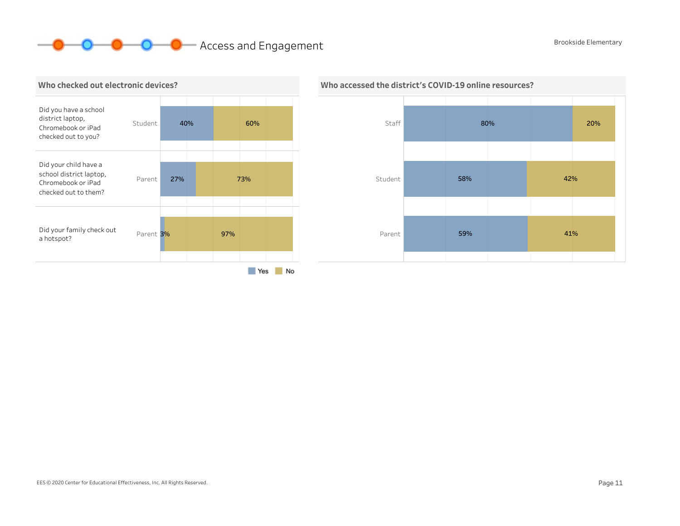# **O O** Access and Engagement Brookside Elementary





### Who accessed the district's COVID-19 online resources?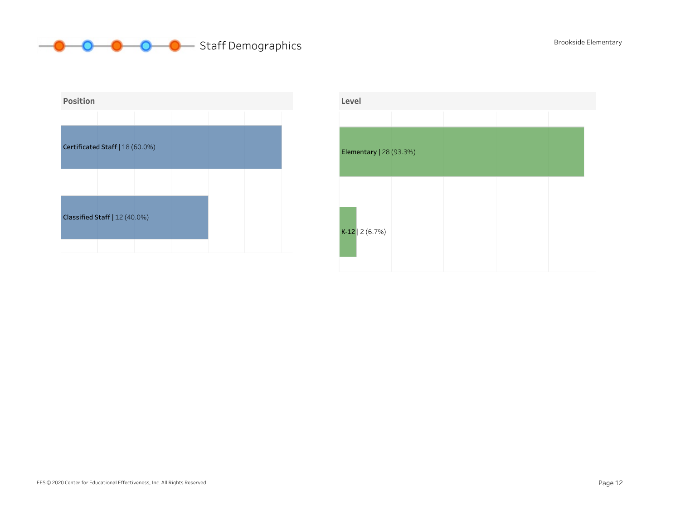# **O** O O Staff Demographics Brookside Elementary



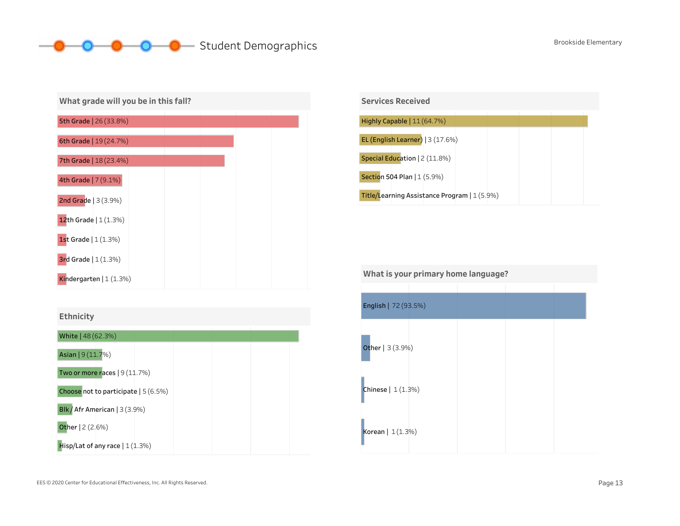# O O O Student Demographics Brookside Elementary

| What grade will you be in this fall? |  |  |  |
|--------------------------------------|--|--|--|
| <b>5th Grade</b>   26 (33.8%)        |  |  |  |
| 6th Grade   19 (24.7%)               |  |  |  |
| <b>7th Grade   18 (23.4%)</b>        |  |  |  |
| 4th Grade   7 (9.1%)                 |  |  |  |
| 2nd Grade   3 (3.9%)                 |  |  |  |
| 12th Grade $(1.3%)$                  |  |  |  |
| 1st Grade $(1.3%)$                   |  |  |  |
| <b>3rd Grade</b> $(1(1.3%)$          |  |  |  |
| Kindergarten $(1.3%)$                |  |  |  |



| <b>Services Received</b>                     |
|----------------------------------------------|
|                                              |
| Highly Capable $  11(64.7%)$                 |
|                                              |
| EL (English Learner) $ 3(17.6%)$             |
|                                              |
| Special Education   2 (11.8%)                |
|                                              |
|                                              |
| Section 504 Plan   1 (5.9%)                  |
|                                              |
|                                              |
| Title/Learning Assistance Program   1 (5.9%) |
|                                              |

| What is your primary home language? |  |  |  |  |  |  |  |
|-------------------------------------|--|--|--|--|--|--|--|
|                                     |  |  |  |  |  |  |  |
| English   72 (93.5%)                |  |  |  |  |  |  |  |
|                                     |  |  |  |  |  |  |  |
| Other   3 (3.9%)                    |  |  |  |  |  |  |  |
| Chinese $  1(1.3%)$                 |  |  |  |  |  |  |  |
| Korean   1(1.3%)                    |  |  |  |  |  |  |  |